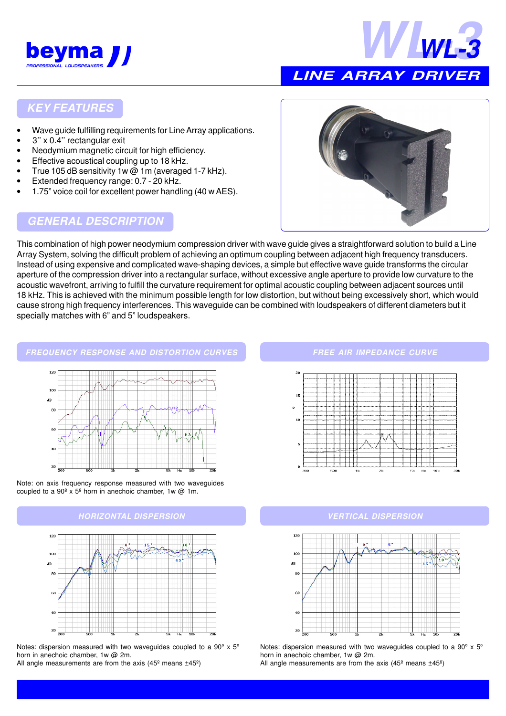



# **LINE ARRAY DRIVER**

## **KEY FEATURES**

- Wave guide fulfilling requirements for Line Array applications.
- 3'' x 0.4'' rectangular exit
- Neodymium magnetic circuit for high efficiency.
- Effective acoustical coupling up to 18 kHz.
- True 105 dB sensitivity 1w @ 1m (averaged 1-7 kHz).
- Extended frequency range: 0.7 20 kHz.
- 1.75" voice coil for excellent power handling (40 w AES).

## **GENERAL DESCRIPTION**



This combination of high power neodymium compression driver with wave guide gives a straightforward solution to build a Line Array System, solving the difficult problem of achieving an optimum coupling between adjacent high frequency transducers. Instead of using expensive and complicated wave-shaping devices, a simple but effective wave guide transforms the circular aperture of the compression driver into a rectangular surface, without excessive angle aperture to provide low curvature to the acoustic wavefront, arriving to fulfill the curvature requirement for optimal acoustic coupling between adjacent sources until 18 kHz. This is achieved with the minimum possible length for low distortion, but without being excessively short, which would cause strong high frequency interferences. This waveguide can be combined with loudspeakers of different diameters but it specially matches with 6" and 5" loudspeakers.

## **FREQUENCY RESPONSE AND DISTORTION CURVES**





## **HORIZONTAL DISPERSION VERTICAL DISPERSION**



Notes: dispersion measured with two waveguides coupled to a  $90^{\circ}$  x  $5^{\circ}$ horn in anechoic chamber, 1w @ 2m.

All angle measurements are from the axis (45 $^{\circ}$  means  $\pm$ 45 $^{\circ}$ )

#### **FREE AIR IMPEDANCE CURVE**





Notes: dispersion measured with two waveguides coupled to a  $90^{\circ}$  x  $5^{\circ}$ horn in anechoic chamber, 1w @ 2m.

All angle measurements are from the axis (45 $^{\circ}$  means  $\pm$ 45 $^{\circ}$ )